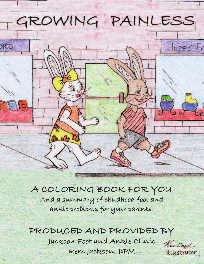

#### **a coLorinG booK For you**

**and a summary of childhood foot and ankle problems for your parents!**

#### **produced and provided by Jackson Foot and ankle clinic rem Jackson, dpM**

Kim Dard Illustrator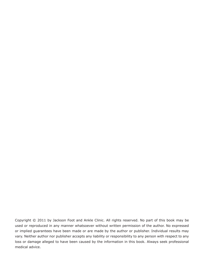Copyright © 2011 by Jackson Foot and Ankle Clinic. All rights reserved. No part of this book may be used or reproduced in any manner whatsoever without written permission of the author. No expressed or implied guarantees have been made or are made by the author or publisher. Individual results may vary. Neither author nor publisher accepts any liability or responsibility to any person with respect to any loss or damage alleged to have been caused by the information in this book. Always seek professional medical advice.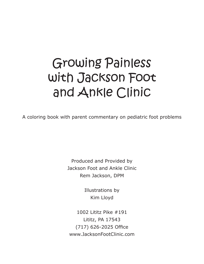### Growing Painless with Jackson Foot and Ankle Clinic

A coloring book with parent commentary on pediatric foot problems

Produced and Provided by Jackson Foot and Ankle Clinic Rem Jackson, DPM

> Illustrations by Kim Lloyd

1002 Lititz Pike #191 Lititz, PA 17543 (717) 626-2025 Office www.JacksonFootClinic.com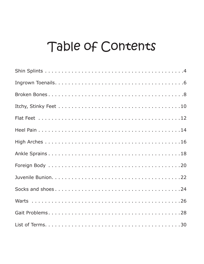#### Table of Contents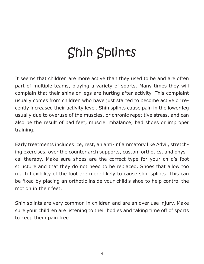# Shin Splints

It seems that children are more active than they used to be and are often part of multiple teams, playing a variety of sports. Many times they will complain that their shins or legs are hurting after activity. This complaint usually comes from children who have just started to become active or recently increased their activity level. Shin splints cause pain in the lower leg usually due to overuse of the muscles, or chronic repetitive stress, and can also be the result of bad feet, muscle imbalance, bad shoes or improper training.

Early treatments includes ice, rest, an anti-inflammatory like Advil, stretching exercises, over the counter arch supports, custom orthotics, and physical therapy. Make sure shoes are the correct type for your child's foot structure and that they do not need to be replaced. Shoes that allow too much flexibility of the foot are more likely to cause shin splints. This can be fixed by placing an orthotic inside your child's shoe to help control the motion in their feet.

Shin splints are very common in children and are an over use injury. Make sure your children are listening to their bodies and taking time off of sports to keep them pain free.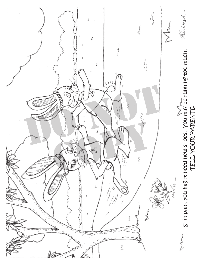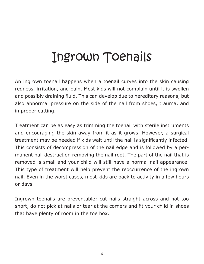### Ingrown Toenails

An ingrown toenail happens when a toenail curves into the skin causing redness, irritation, and pain. Most kids will not complain until it is swollen and possibly draining fluid. This can develop due to hereditary reasons, but also abnormal pressure on the side of the nail from shoes, trauma, and improper cutting.

Treatment can be as easy as trimming the toenail with sterile instruments and encouraging the skin away from it as it grows. However, a surgical treatment may be needed if kids wait until the nail is significantly infected. This consists of decompression of the nail edge and is followed by a permanent nail destruction removing the nail root. The part of the nail that is removed is small and your child will still have a normal nail appearance. This type of treatment will help prevent the reoccurrence of the ingrown nail. Even in the worst cases, most kids are back to activity in a few hours or days.

Ingrown toenails are preventable; cut nails straight across and not too short, do not pick at nails or tear at the corners and fit your child in shoes that have plenty of room in the toe box.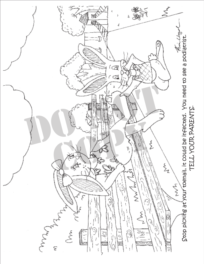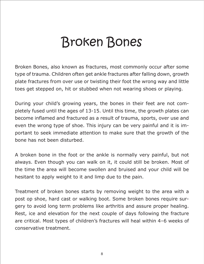## Broken Bones

Broken Bones, also known as fractures, most commonly occur after some type of trauma. Children often get ankle fractures after falling down, growth plate fractures from over use or twisting their foot the wrong way and little toes get stepped on, hit or stubbed when not wearing shoes or playing.

During your child's growing years, the bones in their feet are not completely fused until the ages of 13-15. Until this time, the growth plates can become inflamed and fractured as a result of trauma, sports, over use and even the wrong type of shoe. This injury can be very painful and it is important to seek immediate attention to make sure that the growth of the bone has not been disturbed.

A broken bone in the foot or the ankle is normally very painful, but not always. Even though you can walk on it, it could still be broken. Most of the time the area will become swollen and bruised and your child will be hesitant to apply weight to it and limp due to the pain.

Treatment of broken bones starts by removing weight to the area with a post op shoe, hard cast or walking boot. Some broken bones require surgery to avoid long term problems like arthritis and assure proper healing. Rest, ice and elevation for the next couple of days following the fracture are critical. Most types of children's fractures will heal within 4–6 weeks of conservative treatment.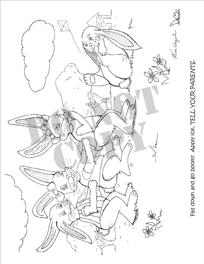

Fall down and go boom? Apply ice, TELL YOUR PARENTS.